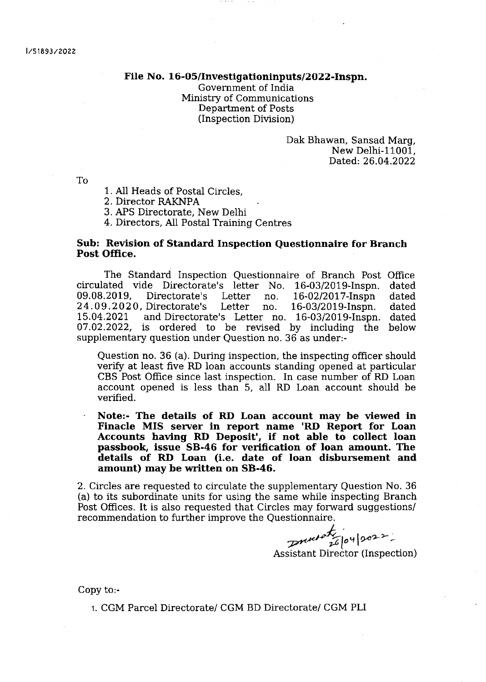## File No. 16-O5/Investigationinputs/2022-Inspn.

Government of India Ministry of Communications Department of Posts (Inspection Division)

> Dak Bhawan, Sansad Marg, New Delhi-11001, Dated,: 26.04.2022

To

<sup>1</sup>. All Heads of Postal Circles,

2, Director RAKNPA

3. APS Directorate, New Delhi

4. Directors, All Postal Training Centres

## Sub: Revision of Standard Inspection Questionnaire for Branch Post Office.

The Standard Inspection Questionnaire of Branch Post Office<br>ated vide Directorate's letter No. 16-03/2019-Inspn. dated circulated vide Directorate's letter No. 16-03/2019-Inspn. dated 09.08.2019, Directorate's Letter no. 16-02/2017-Inspn dated 09.08.2019, Directorate's Letter no. 16-02/2017-Inspn dated<br>24.09.2020,Directorate's Letter no. 16-03/2019-Inspn. dated<br>15.04.2021 andDirectorate's Letter no. 16-03/2019-Inspn. dated and Directorate's Letter no. 16-03/2019-Inspn. dated<br>is ordered to be revised by including the below  $07.02.2022$ , is ordered to be revised by including the supplementary question under Question no. 36 as under:-

Question no. 36 (a). During inspection, the inspecting officer should verify at least five RD loan accounts standing opened at particular CBS Post Office since iast inspection. In case number of RD Loan account opened is less than 5, a1l RD Loan account should be verified.

Note:- The details of RD Loan account may be viewed in Finacle MIS server in report name 'RD Report for Loan Accounts having RD Deposit', if not able to collect loan passbook, issue 58-46 for verification of loan amount. The detalls of RD Loan (i.e. date of loan disbursement and amount) may be written on 58-46.

2. Circles are requested to circulate the supplementary Question No. 36 (a) to its subordinate units for using the same while inspecting Branch Post Offices. It is also requested that Circles may forward suggestions/ recommendation to further improve the Questionnaire

 $z$ nulation 2002 -

Assistant Director (Inspection)

Copy to:-

1. CGM Parcel Directorate/ CGM BD Directorate/ CGM PLI